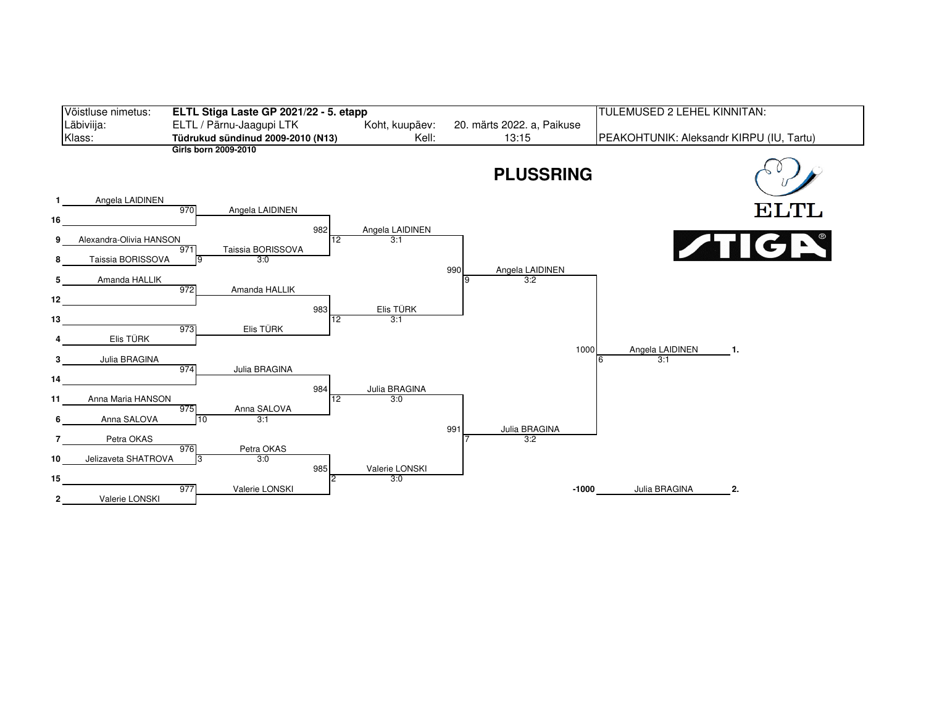